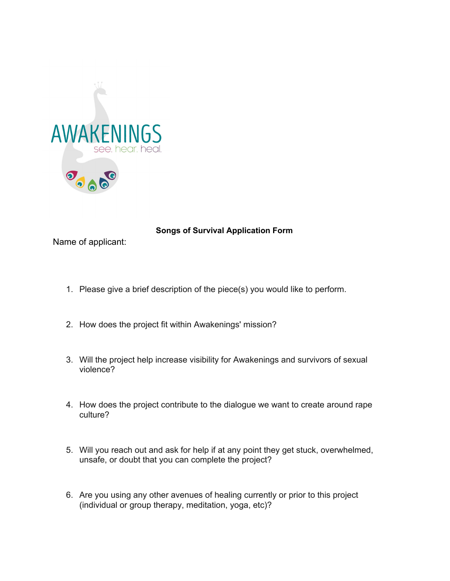

## **Songs of Survival Application Form**

Name of applicant:

- 1. Please give a brief description of the piece(s) you would like to perform.
- 2. How does the project fit within Awakenings' mission?
- 3. Will the project help increase visibility for Awakenings and survivors of sexual violence?
- 4. How does the project contribute to the dialogue we want to create around rape culture?
- 5. Will you reach out and ask for help if at any point they get stuck, overwhelmed, unsafe, or doubt that you can complete the project?
- 6. Are you using any other avenues of healing currently or prior to this project (individual or group therapy, meditation, yoga, etc)?